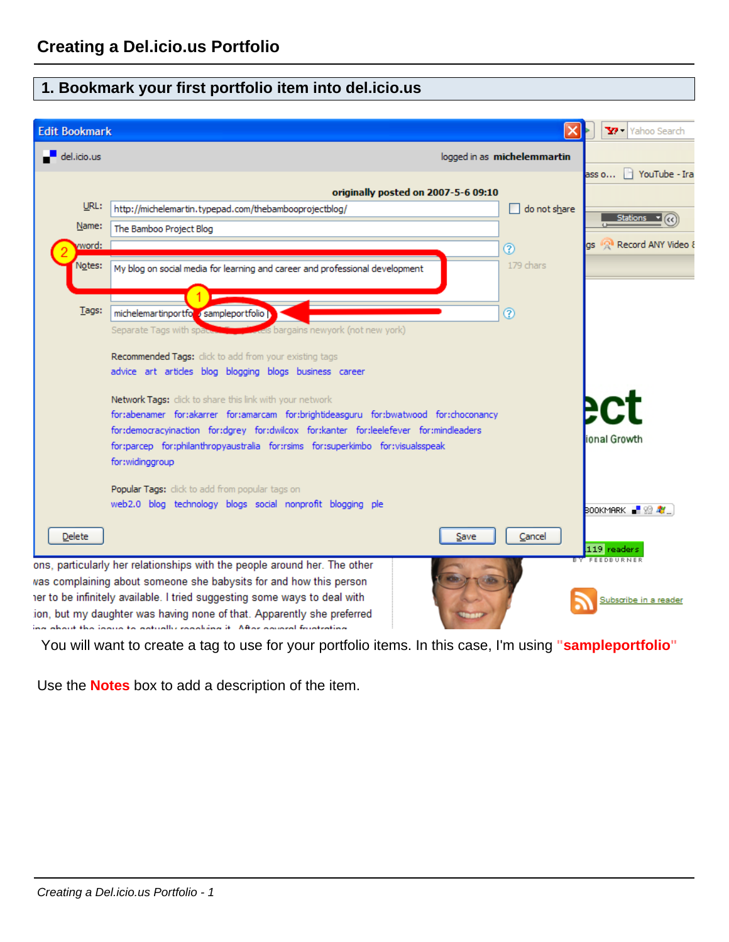#### **1. Bookmark your first portfolio item into del.icio.us**

| <b>Edit Bookmark</b>                                                                                                                             |                                                                                                                                                                         |                             | Y Yahoo Search                   |  |  |
|--------------------------------------------------------------------------------------------------------------------------------------------------|-------------------------------------------------------------------------------------------------------------------------------------------------------------------------|-----------------------------|----------------------------------|--|--|
| del.icio.us                                                                                                                                      |                                                                                                                                                                         | logged in as michelemmartin | □ YouTube - Ira                  |  |  |
|                                                                                                                                                  | originally posted on 2007-5-6 09:10                                                                                                                                     |                             | ass o… l                         |  |  |
| URL:                                                                                                                                             | http://michelemartin.typepad.com/thebambooprojectblog/                                                                                                                  | do not share                | Stations v                       |  |  |
| Name:                                                                                                                                            | The Bamboo Project Blog                                                                                                                                                 |                             | Record ANY Video 8               |  |  |
| yword:<br>Notes:                                                                                                                                 |                                                                                                                                                                         | ⊚<br>179 chars              |                                  |  |  |
|                                                                                                                                                  | My blog on social media for learning and career and professional development                                                                                            |                             |                                  |  |  |
| Tags:                                                                                                                                            | michelemartinportfo sampleportfolio                                                                                                                                     | ⊚                           |                                  |  |  |
|                                                                                                                                                  | Separate Tags with space<br><b>Codes</b> bargains newyork (not new york)                                                                                                |                             |                                  |  |  |
|                                                                                                                                                  | Recommended Tags: click to add from your existing tags                                                                                                                  |                             |                                  |  |  |
|                                                                                                                                                  | advice art articles blog blogging blogs business career                                                                                                                 |                             |                                  |  |  |
|                                                                                                                                                  | Network Tags: click to share this link with your network                                                                                                                |                             |                                  |  |  |
|                                                                                                                                                  | for:abenamer for:akarrer for:amarcam for:brightideasguru for:bwatwood for:choconancy                                                                                    |                             |                                  |  |  |
|                                                                                                                                                  | for:democracyinaction for:dgrey for:dwilcox for:kanter for:leelefever for:mindleaders<br>for:parcep for:philanthropyaustralia for:rsims for:superkimbo for:visualsspeak |                             | ional Growth                     |  |  |
|                                                                                                                                                  | for:widinggroup                                                                                                                                                         |                             |                                  |  |  |
|                                                                                                                                                  | Popular Tags: click to add from popular tags on                                                                                                                         |                             |                                  |  |  |
|                                                                                                                                                  | web2.0 blog technology blogs social nonprofit blogging ple                                                                                                              |                             | <b>BOOKMARK</b> PRIME            |  |  |
| <b>Delete</b>                                                                                                                                    | Save                                                                                                                                                                    | Cancel                      |                                  |  |  |
|                                                                                                                                                  | ons, particularly her relationships with the people around her. The other                                                                                               |                             | 119 readers<br><b>FEEDBURNER</b> |  |  |
| was complaining about someone she babysits for and how this person                                                                               |                                                                                                                                                                         |                             |                                  |  |  |
| ter to be infinitely available. I tried suggesting some ways to deal with<br>Subscribe in a reader                                               |                                                                                                                                                                         |                             |                                  |  |  |
| ion, but my daughter was having none of that. Apparently she preferred<br>ina ahaut tha inaun ta natuallu roonbina it. Aftar naunral fruatratina |                                                                                                                                                                         |                             |                                  |  |  |

You will want to create a tag to use for your portfolio items. In this case, I'm using **"sampleportfolio"** 

Use the **Notes** box to add a description of the item.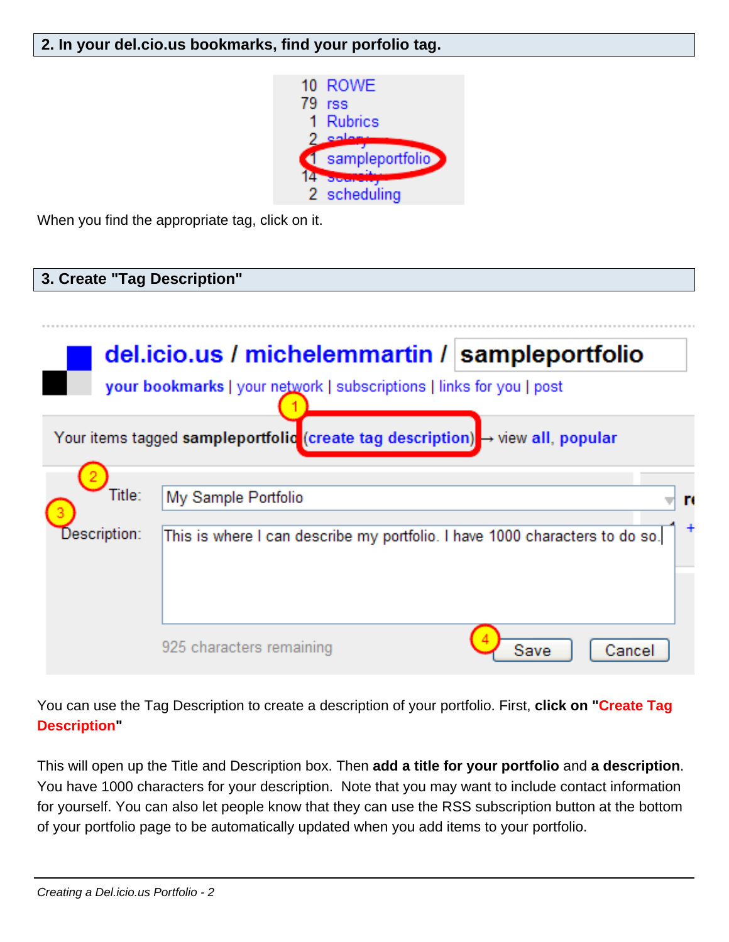#### **2. In your del.cio.us bookmarks, find your porfolio tag.**



When you find the appropriate tag, click on it.

# **3. Create "Tag Description"**

|                        | del.icio.us / michelemmartin / sampleportfolio<br>your bookmarks   your network   subscriptions   links for you   post                                                               |                |
|------------------------|--------------------------------------------------------------------------------------------------------------------------------------------------------------------------------------|----------------|
| Title:<br>Description: | Your items tagged sampleportfolic (create tag description) → view all, popular<br>My Sample Portfolio<br>This is where I can describe my portfolio. I have 1000 characters to do so. | п<br>$+$       |
|                        | 925 characters remaining                                                                                                                                                             | Save<br>Cancel |

You can use the Tag Description to create a description of your portfolio. First, **click on "Create Tag Description"**

This will open up the Title and Description box. Then **add a title for your portfolio** and **a description**. You have 1000 characters for your description. Note that you may want to include contact information for yourself. You can also let people know that they can use the RSS subscription button at the bottom of your portfolio page to be automatically updated when you add items to your portfolio.